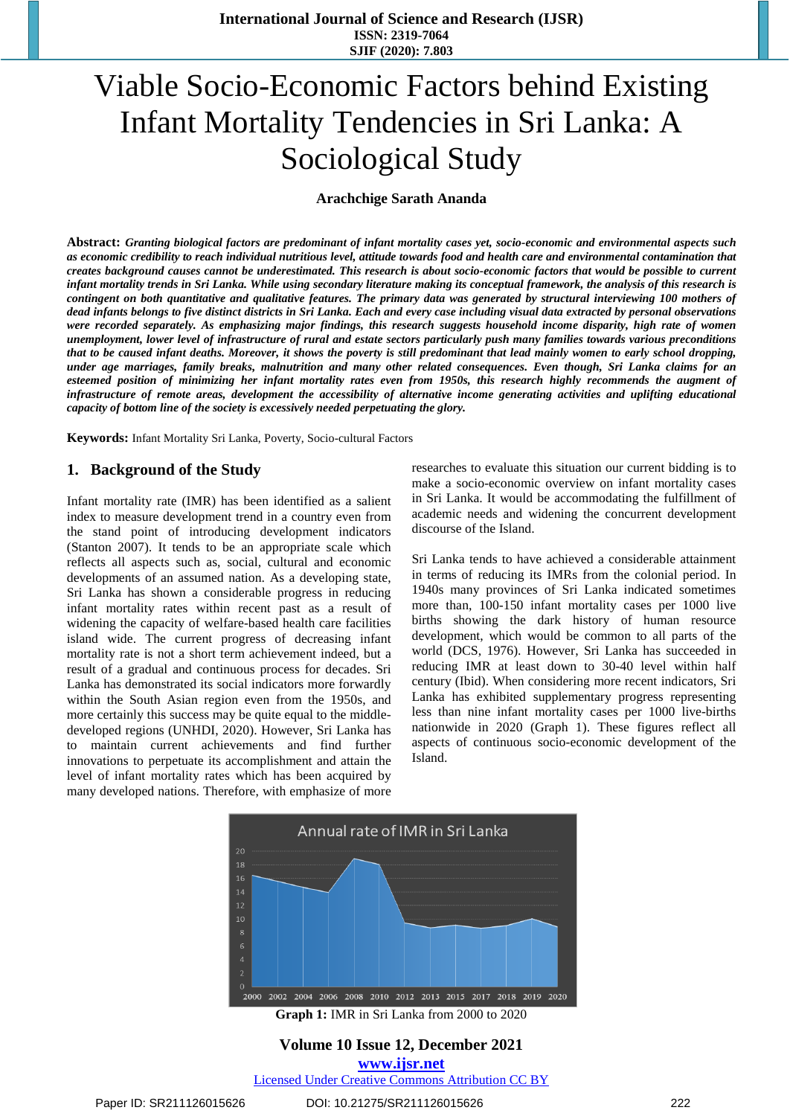# Viable Socio-Economic Factors behind Existing Infant Mortality Tendencies in Sri Lanka: A Sociological Study

**Arachchige Sarath Ananda**

Abstract: Granting biological factors are predominant of infant mortality cases yet, socio-economic and environmental aspects such as economic credibility to reach individual nutritious level, attitude towards food and health care and environmental contamination that creates background causes cannot be underestimated. This research is about socio-economic factors that would be possible to current infant mortality trends in Sri Lanka. While using secondary literature making its conceptual framework, the analysis of this research is contingent on both quantitative and qualitative features. The primary data was generated by structural interviewing 100 mothers of dead infants belongs to five distinct districts in Sri Lanka. Each and every case including visual data extracted by personal observations *were recorded separately. As emphasizing major findings, this research suggests household income disparity, high rate of women* unemployment, lower level of infrastructure of rural and estate sectors particularly push many families towards various preconditions that to be caused infant deaths. Moreover, it shows the poverty is still predominant that lead mainly women to early school dropping, *under age marriages, family breaks, malnutrition and many other related consequences. Even though, Sri Lanka claims for an* esteemed position of minimizing her infant mortality rates even from 1950s, this research highly recommends the augment of infrastructure of remote areas, development the accessibility of alternative income generating activities and uplifting educational *capacity of bottom line of the society is excessively needed perpetuating the glory.* 

**Keywords:** Infant Mortality Sri Lanka, Poverty, Socio-cultural Factors

### **1. Background of the Study**

Infant mortality rate (IMR) has been identified as a salient index to measure development trend in a country even from the stand point of introducing development indicators (Stanton 2007). It tends to be an appropriate scale which reflects all aspects such as, social, cultural and economic developments of an assumed nation. As a developing state, Sri Lanka has shown a considerable progress in reducing infant mortality rates within recent past as a result of widening the capacity of welfare-based health care facilities island wide. The current progress of decreasing infant mortality rate is not a short term achievement indeed, but a result of a gradual and continuous process for decades. Sri Lanka has demonstrated its social indicators more forwardly within the South Asian region even from the 1950s, and more certainly this success may be quite equal to the middledeveloped regions (UNHDI, 2020). However, Sri Lanka has to maintain current achievements and find further innovations to perpetuate its accomplishment and attain the level of infant mortality rates which has been acquired by many developed nations. Therefore, with emphasize of more researches to evaluate this situation our current bidding is to make a socio-economic overview on infant mortality cases in Sri Lanka. It would be accommodating the fulfillment of academic needs and widening the concurrent development discourse of the Island.

Sri Lanka tends to have achieved a considerable attainment in terms of reducing its IMRs from the colonial period. In 1940s many provinces of Sri Lanka indicated sometimes more than, 100-150 infant mortality cases per 1000 live births showing the dark history of human resource development, which would be common to all parts of the world (DCS, 1976). However, Sri Lanka has succeeded in reducing IMR at least down to 30-40 level within half century (Ibid). When considering more recent indicators, Sri Lanka has exhibited supplementary progress representing less than nine infant mortality cases per 1000 live-births nationwide in 2020 (Graph 1). These figures reflect all aspects of continuous socio-economic development of the Island.



**Graph 1:** IMR in Sri Lanka from 2000 to 2020

### **Volume 10 Issue 12, December 2021**

**www.ijsr.net**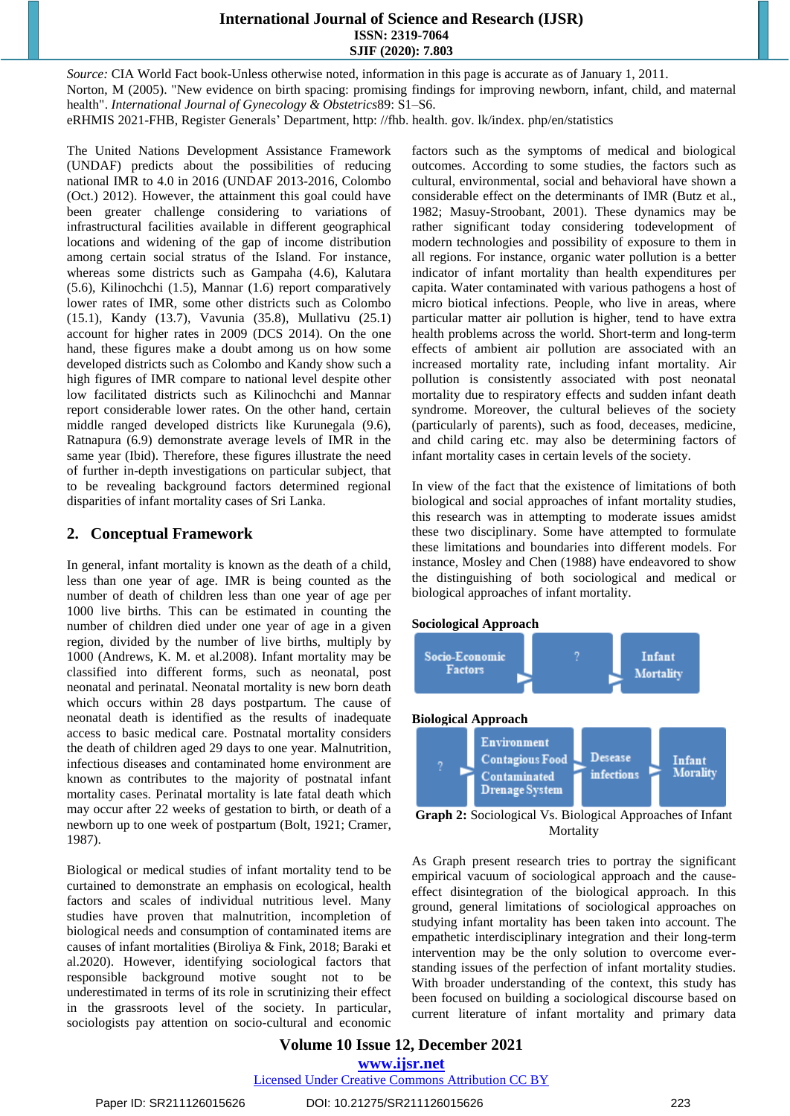*Source:* CIA [World](https://www.cia.gov/library/publications/the-world-factbook/) Fact book-Unless otherwise noted, information in this page is accurate as of January 1, 2011. Norton, M (2005). "New evidence on birth spacing: promising findings for improving newborn, infant, child, and maternal health". *International Journal of Gynecology & Obstetrics*89: S1–S6. eRHMIS 2021-FHB, Register Generals' Department, http: //fhb. health. gov. lk/index. php/en/statistics

The United Nations Development Assistance Framework (UNDAF) predicts about the possibilities of reducing national IMR to 4.0 in 2016 (UNDAF 2013-2016, Colombo (Oct.) 2012). However, the attainment this goal could have been greater challenge considering to variations of infrastructural facilities available in different geographical locations and widening of the gap of income distribution among certain social stratus of the Island. For instance, whereas some districts such as Gampaha (4.6), Kalutara (5.6), Kilinochchi (1.5), Mannar (1.6) report comparatively lower rates of IMR, some other districts such as Colombo (15.1), Kandy (13.7), Vavunia (35.8), Mullativu (25.1) account for higher rates in 2009 (DCS 2014). On the one hand, these figures make a doubt among us on how some developed districts such as Colombo and Kandy show such a high figures of IMR compare to national level despite other low facilitated districts such as Kilinochchi and Mannar report considerable lower rates. On the other hand, certain middle ranged developed districts like Kurunegala (9.6), Ratnapura (6.9) demonstrate average levels of IMR in the same year (Ibid). Therefore, these figures illustrate the need of further in-depth investigations on particular subject, that to be revealing background factors determined regional disparities of infant mortality cases of Sri Lanka.

### **2. Conceptual Framework**

In general, infant mortality is known as the death of a child, less than one year of age. IMR is being counted as the number of death of children less than one year of age per 1000 live births. This can be estimated in counting the number of children died under one year of age in a given region, divided by the number of live births, multiply by 1000 (Andrews, K. M. et al.2008). Infant mortality may be classified into different forms, such as neonatal, post neonatal and perinatal. Neonatal mortality is new born death which occurs within 28 days postpartum. The cause of neonatal death is identified as the results of inadequate access to basic medical care. Postnatal mortality considers the death of children aged 29 days to one year. Malnutrition, infectious diseases and contaminated home environment are known as contributes to the majority of postnatal infant mortality cases. Perinatal mortality is late fatal death which may occur after 22 weeks of gestation to birth, or death of a newborn up to one week of postpartum (Bolt, 1921; Cramer, 1987).

Biological or medical studies of infant mortality tend to be curtained to demonstrate an emphasis on ecological, health factors and scales of individual nutritious level. Many studies have proven that malnutrition, incompletion of biological needs and consumption of contaminated items are causes of infant mortalities (Biroliya & Fink, 2018; Baraki et al.2020). However, identifying sociological factors that responsible background motive sought not to be underestimated in terms of its role in scrutinizing their effect in the grassroots level of the society. In particular, sociologists pay attention on socio-cultural and economic factors such as the symptoms of medical and biological outcomes. According to some studies, the factors such as cultural, environmental, social and behavioral have shown a considerable effect on the determinants of IMR (Butz et al., 1982; Masuy-Stroobant, 2001). These dynamics may be rather significant today considering todevelopment of modern technologies and possibility of exposure to them in all regions. For instance, organic water pollution is a better indicator of infant mortality than health expenditures per capita. Water contaminated with various pathogens a host of micro biotical infections. People, who live in areas, where particular matter air pollution is higher, tend to have extra health problems across the world. Short-term and long-term effects of ambient air pollution are associated with an increased mortality rate, including infant mortality. Air pollution is consistently associated with post neonatal mortality due to respiratory effects and sudden infant death syndrome. Moreover, the cultural believes of the society (particularly of parents), such as food, deceases, medicine, and child caring etc. may also be determining factors of infant mortality cases in certain levels of the society.

In view of the fact that the existence of limitations of both biological and social approaches of infant mortality studies, this research was in attempting to moderate issues amidst these two disciplinary. Some have attempted to formulate these limitations and boundaries into different models. For instance, Mosley and Chen (1988) have endeavored to show the distinguishing of both sociological and medical or biological approaches of infant mortality.









**Graph 2:** Sociological Vs. Biological Approaches of Infant Mortality

As Graph present research tries to portray the significant empirical vacuum of sociological approach and the causeeffect disintegration of the biological approach. In this ground, general limitations of sociological approaches on studying infant mortality has been taken into account. The empathetic interdisciplinary integration and their long-term intervention may be the only solution to overcome everstanding issues of the perfection of infant mortality studies. With broader understanding of the context, this study has been focused on building a sociological discourse based on current literature of infant mortality and primary data

### **Volume 10 Issue 12, December 2021 www.ijsr.net**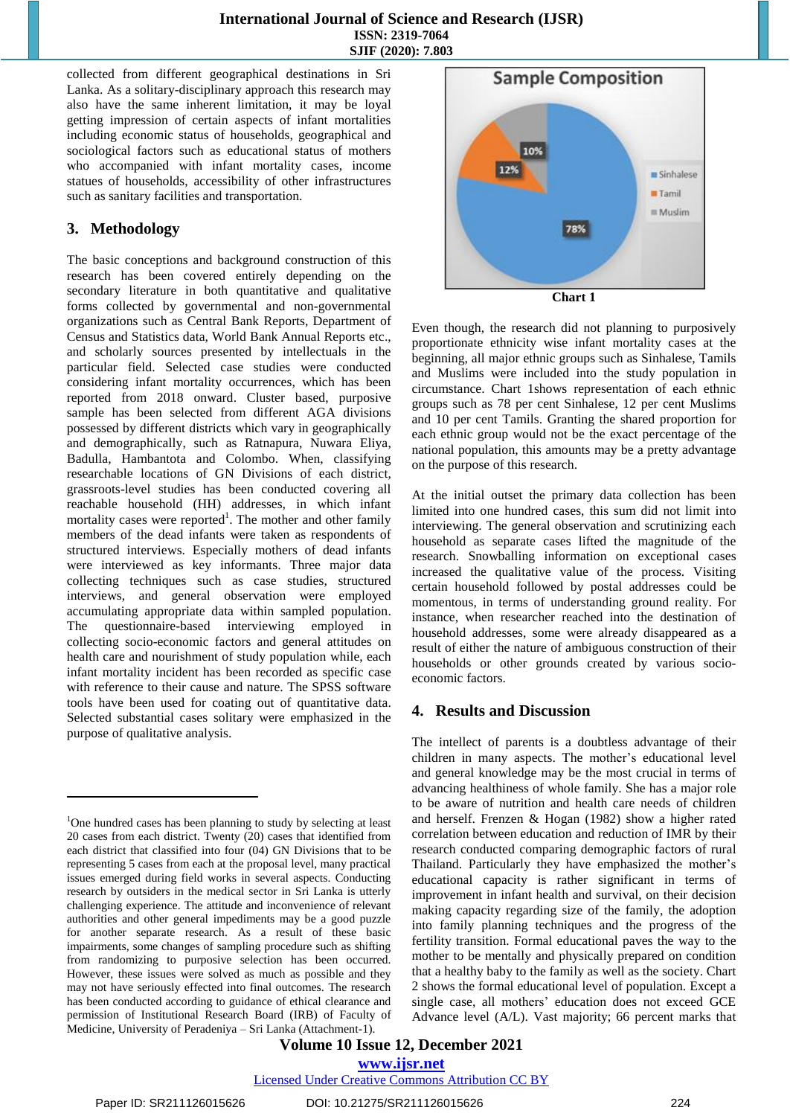collected from different geographical destinations in Sri Lanka. As a solitary-disciplinary approach this research may also have the same inherent limitation, it may be loyal getting impression of certain aspects of infant mortalities including economic status of households, geographical and sociological factors such as educational status of mothers who accompanied with infant mortality cases, income statues of households, accessibility of other infrastructures such as sanitary facilities and transportation.

### **3. Methodology**

The basic conceptions and background construction of this research has been covered entirely depending on the secondary literature in both quantitative and qualitative forms collected by governmental and non-governmental organizations such as Central Bank Reports, Department of Census and Statistics data, World Bank Annual Reports etc., and scholarly sources presented by intellectuals in the particular field. Selected case studies were conducted considering infant mortality occurrences, which has been reported from 2018 onward. Cluster based, purposive sample has been selected from different AGA divisions possessed by different districts which vary in geographically and demographically, such as Ratnapura, Nuwara Eliya, Badulla, Hambantota and Colombo. When, classifying researchable locations of GN Divisions of each district, grassroots-level studies has been conducted covering all reachable household (HH) addresses, in which infant mortality cases were reported<sup>1</sup>. The mother and other family members of the dead infants were taken as respondents of structured interviews. Especially mothers of dead infants were interviewed as key informants. Three major data collecting techniques such as case studies, structured interviews, and general observation were employed accumulating appropriate data within sampled population. The questionnaire-based interviewing employed in collecting socio-economic factors and general attitudes on health care and nourishment of study population while, each infant mortality incident has been recorded as specific case with reference to their cause and nature. The SPSS software tools have been used for coating out of quantitative data. Selected substantial cases solitary were emphasized in the purpose of qualitative analysis.



Even though, the research did not planning to purposively proportionate ethnicity wise infant mortality cases at the beginning, all major ethnic groups such as Sinhalese, Tamils and Muslims were included into the study population in circumstance. Chart 1shows representation of each ethnic groups such as 78 per cent Sinhalese, 12 per cent Muslims and 10 per cent Tamils. Granting the shared proportion for each ethnic group would not be the exact percentage of the national population, this amounts may be a pretty advantage on the purpose of this research.

At the initial outset the primary data collection has been limited into one hundred cases, this sum did not limit into interviewing. The general observation and scrutinizing each household as separate cases lifted the magnitude of the research. Snowballing information on exceptional cases increased the qualitative value of the process. Visiting certain household followed by postal addresses could be momentous, in terms of understanding ground reality. For instance, when researcher reached into the destination of household addresses, some were already disappeared as a result of either the nature of ambiguous construction of their households or other grounds created by various socioeconomic factors.

### **4. Results and Discussion**

The intellect of parents is a doubtless advantage of their children in many aspects. The mother's educational level and general knowledge may be the most crucial in terms of advancing healthiness of whole family. She has a major role to be aware of nutrition and health care needs of children and herself. Frenzen & Hogan (1982) show a higher rated correlation between education and reduction of IMR by their research conducted comparing demographic factors of rural Thailand. Particularly they have emphasized the mother's educational capacity is rather significant in terms of improvement in infant health and survival, on their decision making capacity regarding size of the family, the adoption into family planning techniques and the progress of the fertility transition. Formal educational paves the way to the mother to be mentally and physically prepared on condition that a healthy baby to the family as well as the society. Chart 2 shows the formal educational level of population. Except a single case, all mothers' education does not exceed GCE Advance level (A/L). Vast majority; 66 percent marks that

**Volume 10 Issue 12, December 2021 www.ijsr.net**

Licensed Under Creative Commons Attribution CC BY

 $\overline{\phantom{a}}$ 

<sup>1</sup>One hundred cases has been planning to study by selecting at least 20 cases from each district. Twenty (20) cases that identified from each district that classified into four (04) GN Divisions that to be representing 5 cases from each at the proposal level, many practical issues emerged during field works in several aspects. Conducting research by outsiders in the medical sector in Sri Lanka is utterly challenging experience. The attitude and inconvenience of relevant authorities and other general impediments may be a good puzzle for another separate research. As a result of these basic impairments, some changes of sampling procedure such as shifting from randomizing to purposive selection has been occurred. However, these issues were solved as much as possible and they may not have seriously effected into final outcomes. The research has been conducted according to guidance of ethical clearance and permission of Institutional Research Board (IRB) of Faculty of Medicine, University of Peradeniya – Sri Lanka (Attachment-1).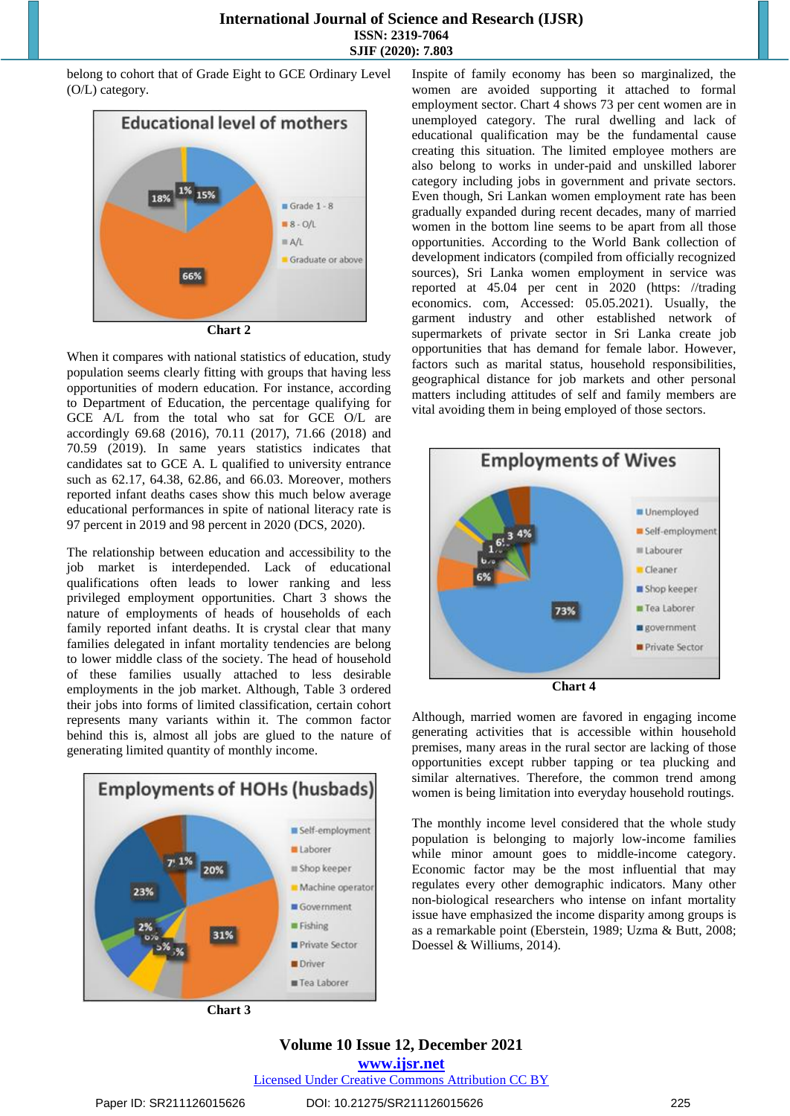belong to cohort that of Grade Eight to GCE Ordinary Level (O/L) category.



**Chart 2**

When it compares with national statistics of education, study population seems clearly fitting with groups that having less opportunities of modern education. For instance, according to Department of Education, the percentage qualifying for GCE A/L from the total who sat for GCE O/L are accordingly 69.68 (2016), 70.11 (2017), 71.66 (2018) and 70.59 (2019). In same years statistics indicates that candidates sat to GCE A. L qualified to university entrance such as 62.17, 64.38, 62.86, and 66.03. Moreover, mothers reported infant deaths cases show this much below average educational performances in spite of national literacy rate is 97 percent in 2019 and 98 percent in 2020 (DCS, 2020).

The relationship between education and accessibility to the job market is interdepended. Lack of educational qualifications often leads to lower ranking and less privileged employment opportunities. Chart 3 shows the nature of employments of heads of households of each family reported infant deaths. It is crystal clear that many families delegated in infant mortality tendencies are belong to lower middle class of the society. The head of household of these families usually attached to less desirable employments in the job market. Although, Table 3 ordered their jobs into forms of limited classification, certain cohort represents many variants within it. The common factor behind this is, almost all jobs are glued to the nature of generating limited quantity of monthly income.



**Chart 3**

Inspite of family economy has been so marginalized, the women are avoided supporting it attached to formal employment sector. Chart 4 shows 73 per cent women are in unemployed category. The rural dwelling and lack of educational qualification may be the fundamental cause creating this situation. The limited employee mothers are also belong to works in under-paid and unskilled laborer category including jobs in government and private sectors. Even though, Sri Lankan women employment rate has been gradually expanded during recent decades, many of married women in the bottom line seems to be apart from all those opportunities. According to the World Bank collection of development indicators (compiled from officially recognized sources), Sri Lanka women employment in service was reported at 45.04 per cent in 2020 (https: //trading economics. com, Accessed: 05.05.2021). Usually, the garment industry and other established network of supermarkets of private sector in Sri Lanka create job opportunities that has demand for female labor. However, factors such as marital status, household responsibilities, geographical distance for job markets and other personal matters including attitudes of self and family members are vital avoiding them in being employed of those sectors.



**Chart 4**

Although, married women are favored in engaging income generating activities that is accessible within household premises, many areas in the rural sector are lacking of those opportunities except rubber tapping or tea plucking and similar alternatives. Therefore, the common trend among women is being limitation into everyday household routings.

The monthly income level considered that the whole study population is belonging to majorly low-income families while minor amount goes to middle-income category. Economic factor may be the most influential that may regulates every other demographic indicators. Many other non-biological researchers who intense on infant mortality issue have emphasized the income disparity among groups is as a remarkable point (Eberstein, 1989; Uzma & Butt, 2008; Doessel & Williums, 2014).

### **Volume 10 Issue 12, December 2021**

**www.ijsr.net**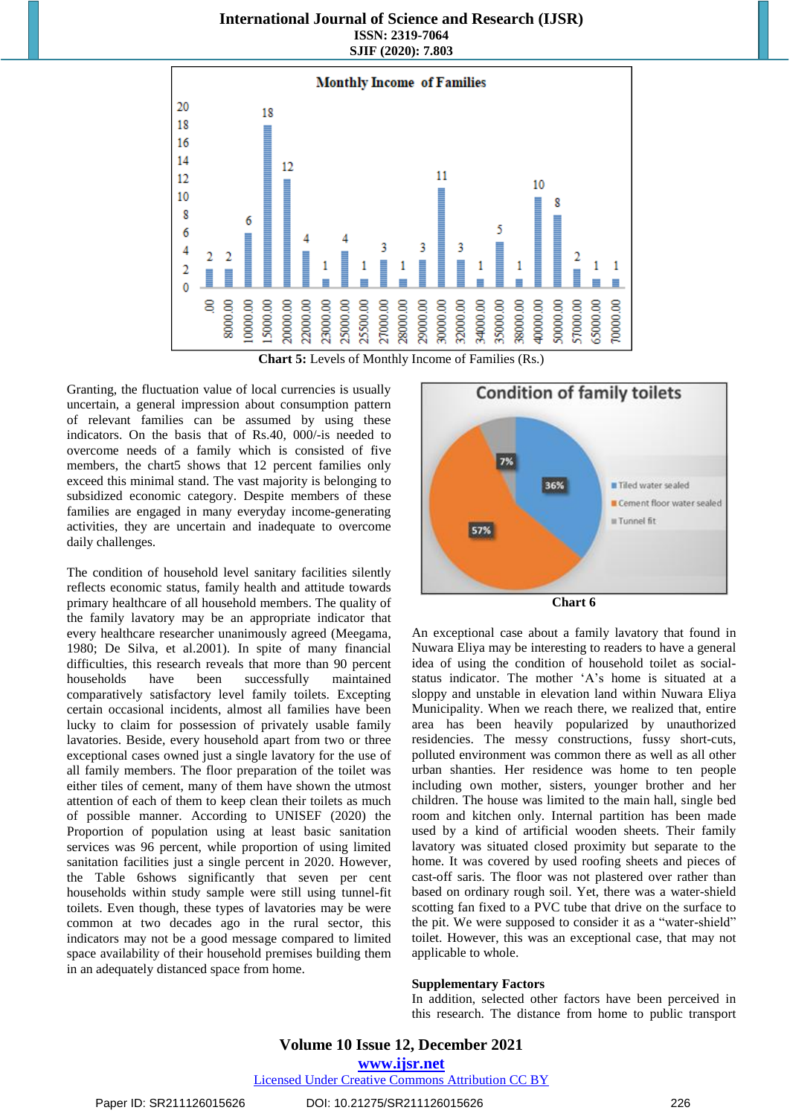

**Chart 5:** Levels of Monthly Income of Families (Rs.)

Granting, the fluctuation value of local currencies is usually uncertain, a general impression about consumption pattern of relevant families can be assumed by using these indicators. On the basis that of Rs.40, 000/-is needed to overcome needs of a family which is consisted of five members, the chart5 shows that 12 percent families only exceed this minimal stand. The vast majority is belonging to subsidized economic category. Despite members of these families are engaged in many everyday income-generating activities, they are uncertain and inadequate to overcome daily challenges.

The condition of household level sanitary facilities silently reflects economic status, family health and attitude towards primary healthcare of all household members. The quality of the family lavatory may be an appropriate indicator that every healthcare researcher unanimously agreed (Meegama, 1980; De Silva, et al.2001). In spite of many financial difficulties, this research reveals that more than 90 percent households have been successfully maintained comparatively satisfactory level family toilets. Excepting certain occasional incidents, almost all families have been lucky to claim for possession of privately usable family lavatories. Beside, every household apart from two or three exceptional cases owned just a single lavatory for the use of all family members. The floor preparation of the toilet was either tiles of cement, many of them have shown the utmost attention of each of them to keep clean their toilets as much of possible manner. According to UNISEF (2020) the Proportion of population using at least basic sanitation services was 96 percent, while proportion of using limited sanitation facilities just a single percent in 2020. However, the Table 6shows significantly that seven per cent households within study sample were still using tunnel-fit toilets. Even though, these types of lavatories may be were common at two decades ago in the rural sector, this indicators may not be a good message compared to limited space availability of their household premises building them in an adequately distanced space from home.



**Chart 6**

An exceptional case about a family lavatory that found in Nuwara Eliya may be interesting to readers to have a general idea of using the condition of household toilet as socialstatus indicator. The mother 'A's home is situated at a sloppy and unstable in elevation land within Nuwara Eliya Municipality. When we reach there, we realized that, entire area has been heavily popularized by unauthorized residencies. The messy constructions, fussy short-cuts, polluted environment was common there as well as all other urban shanties. Her residence was home to ten people including own mother, sisters, younger brother and her children. The house was limited to the main hall, single bed room and kitchen only. Internal partition has been made used by a kind of artificial wooden sheets. Their family lavatory was situated closed proximity but separate to the home. It was covered by used roofing sheets and pieces of cast-off saris. The floor was not plastered over rather than based on ordinary rough soil. Yet, there was a water-shield scotting fan fixed to a PVC tube that drive on the surface to the pit. We were supposed to consider it as a "water-shield" toilet. However, this was an exceptional case, that may not applicable to whole.

### **Supplementary Factors**

In addition, selected other factors have been perceived in this research. The distance from home to public transport

## **Volume 10 Issue 12, December 2021**

**www.ijsr.net**

Licensed Under Creative Commons Attribution CC BY

#### Paper ID: SR211126015626 DOI: 10.21275/SR211126015626 226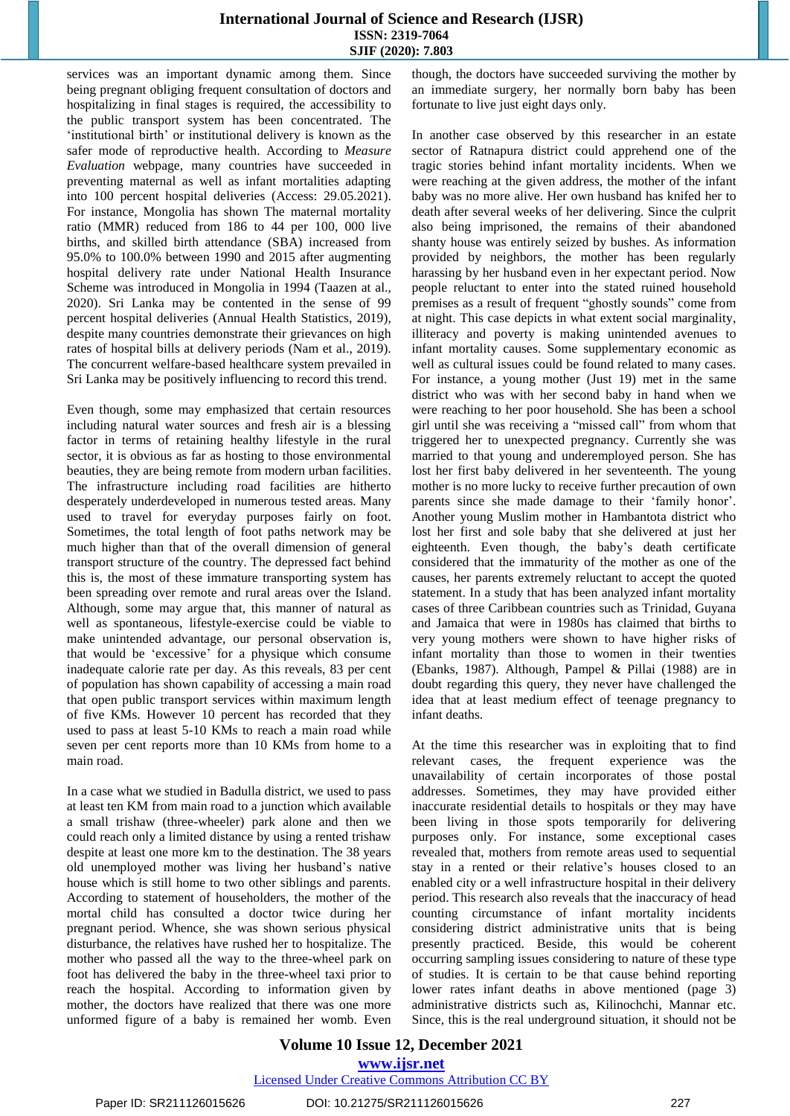services was an important dynamic among them. Since being pregnant obliging frequent consultation of doctors and hospitalizing in final stages is required, the accessibility to the public transport system has been concentrated. The 'institutional birth' or institutional delivery is known as the safer mode of reproductive health. According to *Measure Evaluation* webpage, many countries have succeeded in preventing maternal as well as infant mortalities adapting into 100 percent hospital deliveries (Access: 29.05.2021). For instance, Mongolia has shown The maternal mortality ratio (MMR) reduced from 186 to 44 per 100, 000 live births, and skilled birth attendance (SBA) increased from 95.0% to 100.0% between 1990 and 2015 after augmenting hospital delivery rate under National Health Insurance Scheme was introduced in Mongolia in 1994 (Taazen at al., 2020). Sri Lanka may be contented in the sense of 99 percent hospital deliveries (Annual Health Statistics, 2019), despite many countries demonstrate their grievances on high rates of hospital bills at delivery periods (Nam et al., 2019). The concurrent welfare-based healthcare system prevailed in Sri Lanka may be positively influencing to record this trend.

Even though, some may emphasized that certain resources including natural water sources and fresh air is a blessing factor in terms of retaining healthy lifestyle in the rural sector, it is obvious as far as hosting to those environmental beauties, they are being remote from modern urban facilities. The infrastructure including road facilities are hitherto desperately underdeveloped in numerous tested areas. Many used to travel for everyday purposes fairly on foot. Sometimes, the total length of foot paths network may be much higher than that of the overall dimension of general transport structure of the country. The depressed fact behind this is, the most of these immature transporting system has been spreading over remote and rural areas over the Island. Although, some may argue that, this manner of natural as well as spontaneous, lifestyle-exercise could be viable to make unintended advantage, our personal observation is, that would be 'excessive' for a physique which consume inadequate calorie rate per day. As this reveals, 83 per cent of population has shown capability of accessing a main road that open public transport services within maximum length of five KMs. However 10 percent has recorded that they used to pass at least 5-10 KMs to reach a main road while seven per cent reports more than 10 KMs from home to a main road.

In a case what we studied in Badulla district, we used to pass at least ten KM from main road to a junction which available a small trishaw (three-wheeler) park alone and then we could reach only a limited distance by using a rented trishaw despite at least one more km to the destination. The 38 years old unemployed mother was living her husband's native house which is still home to two other siblings and parents. According to statement of householders, the mother of the mortal child has consulted a doctor twice during her pregnant period. Whence, she was shown serious physical disturbance, the relatives have rushed her to hospitalize. The mother who passed all the way to the three-wheel park on foot has delivered the baby in the three-wheel taxi prior to reach the hospital. According to information given by mother, the doctors have realized that there was one more unformed figure of a baby is remained her womb. Even though, the doctors have succeeded surviving the mother by an immediate surgery, her normally born baby has been fortunate to live just eight days only.

In another case observed by this researcher in an estate sector of Ratnapura district could apprehend one of the tragic stories behind infant mortality incidents. When we were reaching at the given address, the mother of the infant baby was no more alive. Her own husband has knifed her to death after several weeks of her delivering. Since the culprit also being imprisoned, the remains of their abandoned shanty house was entirely seized by bushes. As information provided by neighbors, the mother has been regularly harassing by her husband even in her expectant period. Now people reluctant to enter into the stated ruined household premises as a result of frequent "ghostly sounds" come from at night. This case depicts in what extent social marginality, illiteracy and poverty is making unintended avenues to infant mortality causes. Some supplementary economic as well as cultural issues could be found related to many cases. For instance, a young mother (Just 19) met in the same district who was with her second baby in hand when we were reaching to her poor household. She has been a school girl until she was receiving a "missed call" from whom that triggered her to unexpected pregnancy. Currently she was married to that young and underemployed person. She has lost her first baby delivered in her seventeenth. The young mother is no more lucky to receive further precaution of own parents since she made damage to their 'family honor'. Another young Muslim mother in Hambantota district who lost her first and sole baby that she delivered at just her eighteenth. Even though, the baby's death certificate considered that the immaturity of the mother as one of the causes, her parents extremely reluctant to accept the quoted statement. In a study that has been analyzed infant mortality cases of three Caribbean countries such as Trinidad, Guyana and Jamaica that were in 1980s has claimed that births to very young mothers were shown to have higher risks of infant mortality than those to women in their twenties (Ebanks, 1987). Although, Pampel & Pillai (1988) are in doubt regarding this query, they never have challenged the idea that at least medium effect of teenage pregnancy to infant deaths.

At the time this researcher was in exploiting that to find relevant cases, the frequent experience was the unavailability of certain incorporates of those postal addresses. Sometimes, they may have provided either inaccurate residential details to hospitals or they may have been living in those spots temporarily for delivering purposes only. For instance, some exceptional cases revealed that, mothers from remote areas used to sequential stay in a rented or their relative's houses closed to an enabled city or a well infrastructure hospital in their delivery period. This research also reveals that the inaccuracy of head counting circumstance of infant mortality incidents considering district administrative units that is being presently practiced. Beside, this would be coherent occurring sampling issues considering to nature of these type of studies. It is certain to be that cause behind reporting lower rates infant deaths in above mentioned (page 3) administrative districts such as, Kilinochchi, Mannar etc. Since, this is the real underground situation, it should not be

### **Volume 10 Issue 12, December 2021 www.ijsr.net**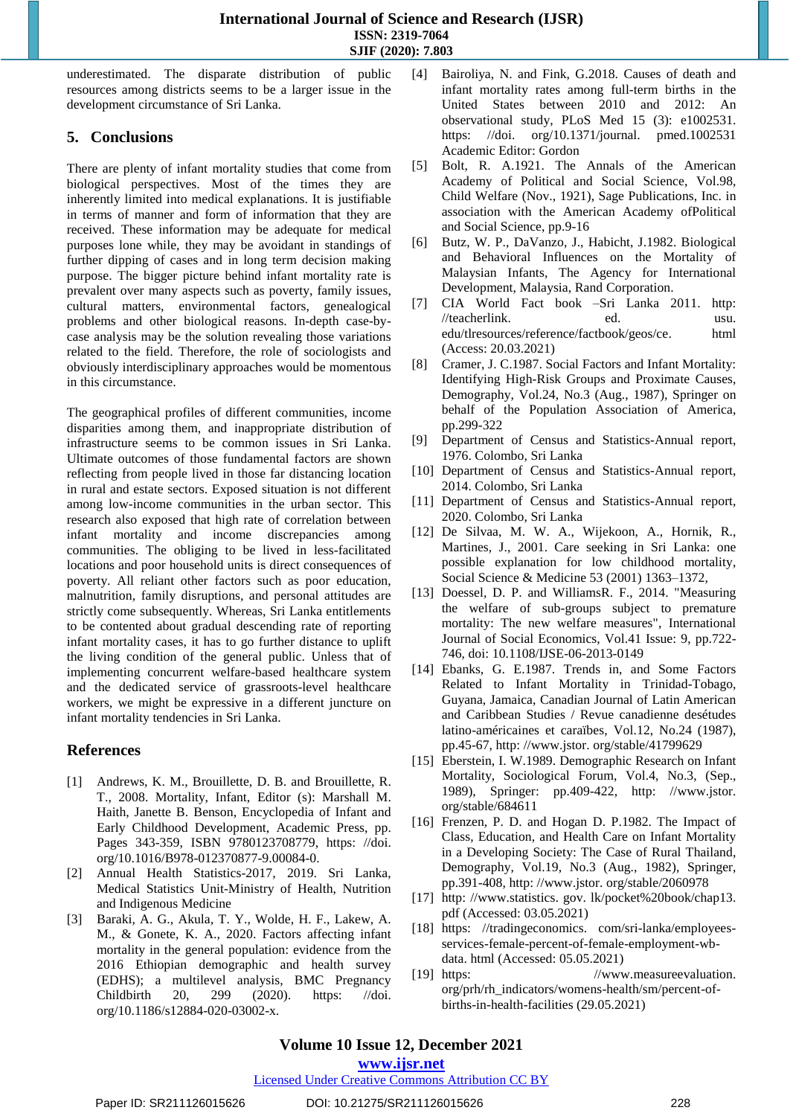underestimated. The disparate distribution of public resources among districts seems to be a larger issue in the development circumstance of Sri Lanka.

### **5. Conclusions**

There are plenty of infant mortality studies that come from biological perspectives. Most of the times they are inherently limited into medical explanations. It is justifiable in terms of manner and form of information that they are received. These information may be adequate for medical purposes lone while, they may be avoidant in standings of further dipping of cases and in long term decision making purpose. The bigger picture behind infant mortality rate is prevalent over many aspects such as poverty, family issues, cultural matters, environmental factors, genealogical problems and other biological reasons. In-depth case-bycase analysis may be the solution revealing those variations related to the field. Therefore, the role of sociologists and obviously interdisciplinary approaches would be momentous in this circumstance.

The geographical profiles of different communities, income disparities among them, and inappropriate distribution of infrastructure seems to be common issues in Sri Lanka. Ultimate outcomes of those fundamental factors are shown reflecting from people lived in those far distancing location in rural and estate sectors. Exposed situation is not different among low-income communities in the urban sector. This research also exposed that high rate of correlation between infant mortality and income discrepancies among communities. The obliging to be lived in less-facilitated locations and poor household units is direct consequences of poverty. All reliant other factors such as poor education, malnutrition, family disruptions, and personal attitudes are strictly come subsequently. Whereas, Sri Lanka entitlements to be contented about gradual descending rate of reporting infant mortality cases, it has to go further distance to uplift the living condition of the general public. Unless that of implementing concurrent welfare-based healthcare system and the dedicated service of grassroots-level healthcare workers, we might be expressive in a different juncture on infant mortality tendencies in Sri Lanka.

### **References**

- [1] Andrews, K. M., Brouillette, D. B. and Brouillette, R. T., 2008. Mortality, Infant, Editor (s): Marshall M. Haith, Janette B. Benson, Encyclopedia of Infant and Early Childhood Development, Academic Press, pp. Pages 343-359, ISBN 9780123708779, [https: //doi.](https://doi.org/10.1016/B978-012370877-9.00084-0)  [org/10.1016/B978-012370877-9.00084-0.](https://doi.org/10.1016/B978-012370877-9.00084-0)
- [2] Annual Health Statistics-2017, 2019. Sri Lanka, Medical Statistics Unit-Ministry of Health, Nutrition and Indigenous Medicine
- [3] Baraki, A. G., Akula, T. Y., Wolde, H. F., Lakew, A. M., & Gonete, K. A., 2020. Factors affecting infant mortality in the general population: evidence from the 2016 Ethiopian demographic and health survey (EDHS); a multilevel analysis, BMC Pregnancy Childbirth 20, 299 (2020). https: //doi. org/10.1186/s12884-020-03002-x.
- [4] Bairoliya, N. and Fink, G.2018. Causes of death and infant mortality rates among full-term births in the United States between 2010 and 2012: An observational study, PLoS Med 15 (3): e1002531. https: //doi. org/10.1371/journal. pmed.1002531 Academic Editor: Gordon
- [5] Bolt, R. A.1921. The Annals of the American Academy of Political and Social Science, Vol.98, Child Welfare (Nov., 1921), Sage Publications, Inc. in association with the American Academy ofPolitical and Social Science, pp.9-16
- [6] Butz, W. P., DaVanzo, J., Habicht, J.1982. Biological and Behavioral Influences on the Mortality of Malaysian Infants, The Agency for International Development, Malaysia, Rand Corporation.
- [7] CIA World Fact book –Sri Lanka 2011. [http:](http://teacherlink.ed.usu.edu/tlresources/reference/factbook/geos/ce.html)  //teacherlink. ed. usu. [edu/tlresources/reference/factbook/geos/ce. html](http://teacherlink.ed.usu.edu/tlresources/reference/factbook/geos/ce.html) (Access: 20.03.2021)
- [8] Cramer, J. C.1987. Social Factors and Infant Mortality: Identifying High-Risk Groups and Proximate Causes, Demography, Vol.24, No.3 (Aug., 1987), Springer on behalf of the Population Association of America, pp.299-322
- [9] Department of Census and Statistics-Annual report, 1976. Colombo, Sri Lanka
- [10] Department of Census and Statistics-Annual report, 2014. Colombo, Sri Lanka
- [11] Department of Census and Statistics-Annual report, 2020. Colombo, Sri Lanka
- [12] De Silvaa, M. W. A., Wijekoon, A., Hornik, R., Martines, J., 2001. Care seeking in Sri Lanka: one possible explanation for low childhood mortality, Social Science & Medicine 53 (2001) 1363–1372,
- [13] Doessel, D. P. and WilliamsR. F., 2014. "Measuring the welfare of sub-groups subject to premature mortality: The new welfare measures", International Journal of Social Economics, Vol.41 Issue: 9, pp.722- 746, doi: 10.1108/IJSE-06-2013-0149
- [14] Ebanks, G. E.1987. Trends in, and Some Factors Related to Infant Mortality in Trinidad-Tobago, Guyana, Jamaica, Canadian Journal of Latin American and Caribbean Studies / Revue canadienne desétudes latino-américaines et caraïbes, Vol.12, No.24 (1987), pp.45-67, http: //www.jstor. org/stable/41799629
- [15] Eberstein, I. W.1989. Demographic Research on Infant Mortality, Sociological Forum, Vol.4, No.3, (Sep., 1989), Springer: pp.409-422, [http: //www.jstor.](http://www.jstor.org/stable/684611)  [org/stable/684611](http://www.jstor.org/stable/684611)
- [16] Frenzen, P. D. and Hogan D. P.1982. The Impact of Class, Education, and Health Care on Infant Mortality in a Developing Society: The Case of Rural Thailand, Demography, Vol.19, No.3 (Aug., 1982), Springer, pp.391-408, http: //www.jstor. org/stable/2060978
- [17] [http: //www.statistics. gov. lk/pocket%20book/chap13.](http://www.statistics.gov.lk/pocket%20book/chap13.pdf)  [pdf](http://www.statistics.gov.lk/pocket%20book/chap13.pdf) (Accessed: 03.05.2021)
- [18] [https: //tradingeconomics. com/sri-lanka/employees](https://tradingeconomics.com/sri-lanka/employees-services-female-percent-of-female-employment-wb-data.html)[services-female-percent-of-female-employment-wb](https://tradingeconomics.com/sri-lanka/employees-services-female-percent-of-female-employment-wb-data.html)[data. html](https://tradingeconomics.com/sri-lanka/employees-services-female-percent-of-female-employment-wb-data.html) (Accessed: 05.05.2021)
- [19] https: //www.measureevaluation. [org/prh/rh\\_indicators/womens-health/sm/percent-of](https://www.measureevaluation.org/prh/rh_indicators/womens-health/sm/percent-of-births-in-health-facilities)[births-in-health-facilities](https://www.measureevaluation.org/prh/rh_indicators/womens-health/sm/percent-of-births-in-health-facilities) (29.05.2021)

### **Volume 10 Issue 12, December 2021**

**www.ijsr.net**